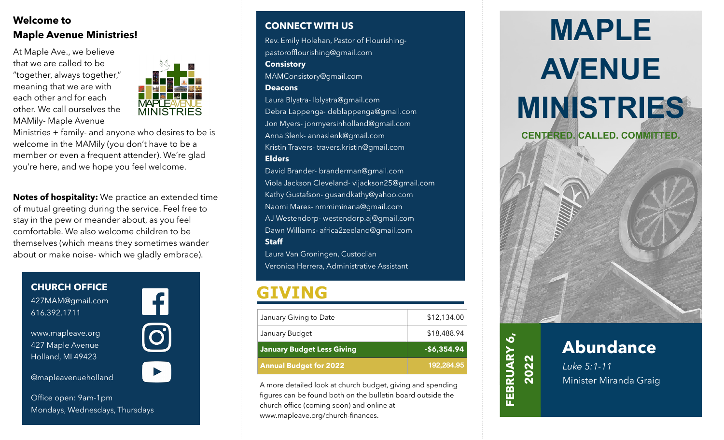### **Welcome to Maple Avenue Ministries!**

At Maple Ave., we believe that we are called to be "together, always together," meaning that we are with each other and for each other. We call ourselves the MAMily- Maple Avenue



Ministries + family- and anyone who desires to be is welcome in the MAMily (you don't have to be a member or even a frequent attender). We're glad you're here, and we hope you feel welcome.

**Notes of hospitality:** We practice an extended time of mutual greeting during the service. Feel free to stay in the pew or meander about, as you feel comfortable. We also welcome children to be themselves (which means they sometimes wander about or make noise- which we gladly embrace).

**CHURCH OFFICE** 427MAM@gmail.com 616.392.1711



www.mapleave.org 427 Maple Avenue Holland, MI 49423

@mapleavenueholland



**CONNECT WITH US**

Rev. Emily Holehan, Pastor of Flourishingpastorofflourishing@gmail.com

#### **Consistory**

MAMConsistory@gmail.com

#### **Deacons**

Laura Blystra- lblystra@gmail.com Debra Lappenga- deblappenga@gmail.com Jon Myers- jonmyersinholland@gmail.com Anna Slenk- annaslenk@gmail.com Kristin Travers- travers.kristin@gmail.com **Elders**

David Brander- branderman@gmail.com Viola Jackson Cleveland- vijackson25@gmail.com Kathy Gustafson- gusandkathy@yahoo.com Naomi Mares- nmmiminana@gmail.com AJ Westendorp- westendorp.aj@gmail.com Dawn Williams- africa2zeeland@gmail.com **Staff**

Laura Van Groningen, Custodian Veronica Herrera, Administrative Assistant

### **GIVING**

| <b>Annual Budget for 2022</b>     | 192,284.95   |
|-----------------------------------|--------------|
| <b>January Budget Less Giving</b> | $-$6,354.94$ |
| January Budget                    | \$18,488.94  |
| January Giving to Date            | \$12,134.00  |

A more detailed look at church budget, giving and spending figures can be found both on the bulletin board outside the church office (coming soon) and online at www.mapleave.org/church-finances.

# **MAPLE AVENUE MINISTRIES**

**CENTERED. CALLED. COMMITTED.**





### **Abundance**

 *Luke 5:1-11* Minister Miranda Graig